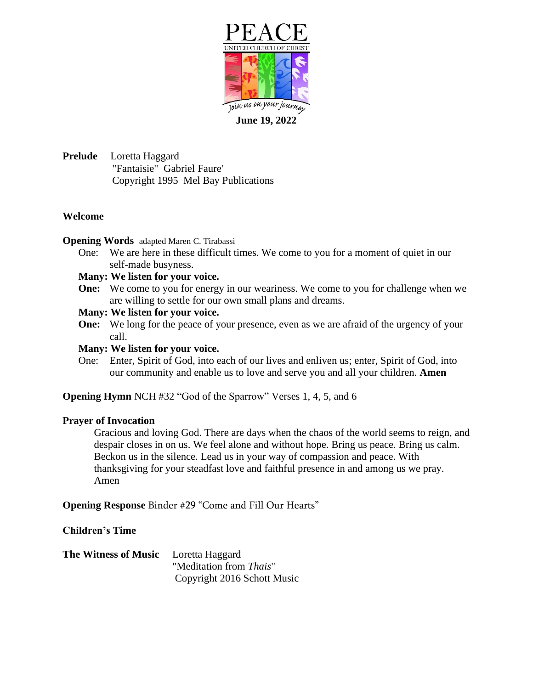

**June 19, 2022**

**Prelude** Loretta Haggard "Fantaisie" Gabriel Faure' Copyright 1995 Mel Bay Publications

# **Welcome**

### **Opening Words** adapted Maren C. Tirabassi

One: We are here in these difficult times. We come to you for a moment of quiet in our self-made busyness.

# **Many: We listen for your voice.**

**One:** We come to you for energy in our weariness. We come to you for challenge when we are willing to settle for our own small plans and dreams.

### **Many: We listen for your voice.**

**One:** We long for the peace of your presence, even as we are afraid of the urgency of your call.

# **Many: We listen for your voice.**

One: Enter, Spirit of God, into each of our lives and enliven us; enter, Spirit of God, into our community and enable us to love and serve you and all your children. **Amen**

**Opening Hymn** NCH #32 "God of the Sparrow" Verses 1, 4, 5, and 6

# **Prayer of Invocation**

Gracious and loving God. There are days when the chaos of the world seems to reign, and despair closes in on us. We feel alone and without hope. Bring us peace. Bring us calm. Beckon us in the silence. Lead us in your way of compassion and peace. With thanksgiving for your steadfast love and faithful presence in and among us we pray. Amen

**Opening Response** Binder #29 "Come and Fill Our Hearts"

# **Children's Time**

| <b>The Witness of Music</b> Loretta Haggard |                                 |
|---------------------------------------------|---------------------------------|
|                                             | "Meditation from <i>Thais</i> " |
|                                             | Copyright 2016 Schott Music     |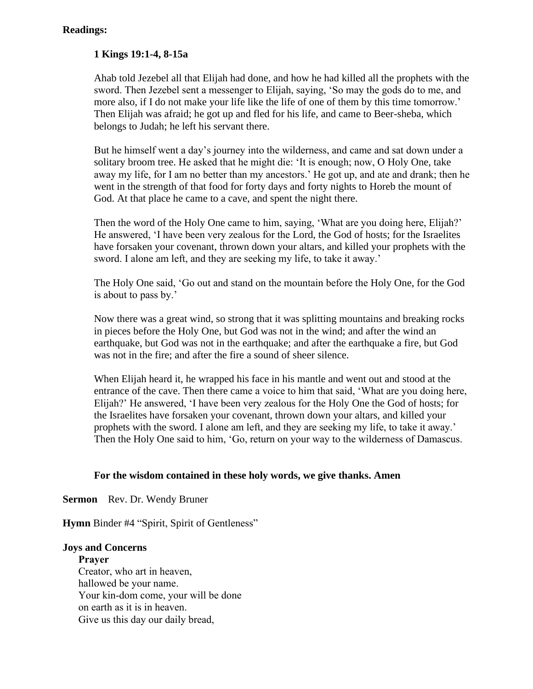# **Readings:**

# **1 Kings 19:1-4, 8-15a**

Ahab told Jezebel all that Elijah had done, and how he had killed all the prophets with the sword. Then Jezebel sent a messenger to Elijah, saying, 'So may the gods do to me, and more also, if I do not make your life like the life of one of them by this time tomorrow.' Then Elijah was afraid; he got up and fled for his life, and came to Beer-sheba, which belongs to Judah; he left his servant there.

But he himself went a day's journey into the wilderness, and came and sat down under a solitary broom tree. He asked that he might die: 'It is enough; now, O Holy One, take away my life, for I am no better than my ancestors.' He got up, and ate and drank; then he went in the strength of that food for forty days and forty nights to Horeb the mount of God. At that place he came to a cave, and spent the night there.

Then the word of the Holy One came to him, saying, 'What are you doing here, Elijah?' He answered, 'I have been very zealous for the Lord, the God of hosts; for the Israelites have forsaken your covenant, thrown down your altars, and killed your prophets with the sword. I alone am left, and they are seeking my life, to take it away.'

The Holy One said, 'Go out and stand on the mountain before the Holy One, for the God is about to pass by.'

Now there was a great wind, so strong that it was splitting mountains and breaking rocks in pieces before the Holy One, but God was not in the wind; and after the wind an earthquake, but God was not in the earthquake; and after the earthquake a fire, but God was not in the fire; and after the fire a sound of sheer silence.

When Elijah heard it, he wrapped his face in his mantle and went out and stood at the entrance of the cave. Then there came a voice to him that said, 'What are you doing here, Elijah?' He answered, 'I have been very zealous for the Holy One the God of hosts; for the Israelites have forsaken your covenant, thrown down your altars, and killed your prophets with the sword. I alone am left, and they are seeking my life, to take it away.' Then the Holy One said to him, 'Go, return on your way to the wilderness of Damascus.

# **For the wisdom contained in these holy words, we give thanks. Amen**

**Sermon** Rev. Dr. Wendy Bruner

**Hymn** Binder #4 "Spirit, Spirit of Gentleness"

# **Joys and Concerns**

**Prayer** Creator, who art in heaven, hallowed be your name. Your kin-dom come, your will be done on earth as it is in heaven. Give us this day our daily bread,